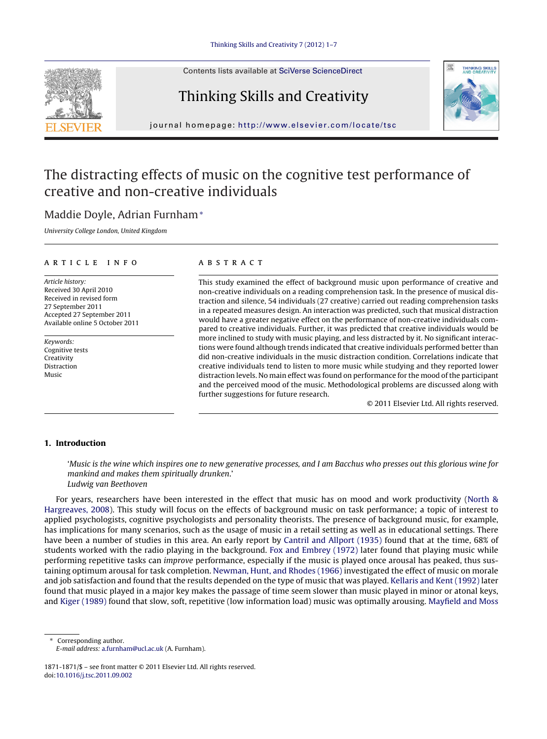Contents lists available at SciVerse [ScienceDirect](http://www.sciencedirect.com/science/journal/18711871)

# Thinking Skills and Creativity



journal homepage: <http://www.elsevier.com/locate/tsc>

## The distracting effects of music on the cognitive test performance of creative and non-creative individuals

### Maddie Doyle, Adrian Furnham<sup>∗</sup>

University College London, United Kingdom

#### ARTICLE INFO

Article history: Received 30 April 2010 Received in revised form 27 September 2011 Accepted 27 September 2011 Available online 5 October 2011

Keywords: Cognitive tests Creativity Distraction Music

#### A B S T R A C T

This study examined the effect of background music upon performance of creative and non-creative individuals on a reading comprehension task. In the presence of musical distraction and silence, 54 individuals (27 creative) carried out reading comprehension tasks in a repeated measures design. An interaction was predicted, such that musical distraction would have a greater negative effect on the performance of non-creative individuals compared to creative individuals. Further, it was predicted that creative individuals would be more inclined to study with music playing, and less distracted by it. No significant interactions were found although trends indicated that creative individuals performed better than did non-creative individuals in the music distraction condition. Correlations indicate that creative individuals tend to listen to more music while studying and they reported lower distraction levels. No main effect was found on performance for the mood of the participant and the perceived mood of the music. Methodological problems are discussed along with further suggestions for future research.

© 2011 Elsevier Ltd. All rights reserved.

#### **1. Introduction**

'Music is the wine which inspires one to new generative processes, and I am Bacchus who presses out this glorious wine for mankind and makes them spiritually drunken.' Ludwig van Beethoven

For years, researchers have been interested in the effect that music has on mood and work productivity ([North](#page-6-0) [&](#page-6-0) [Hargreaves,](#page-6-0) [2008\).](#page-6-0) This study will focus on the effects of background music on task performance; a topic of interest to applied psychologists, cognitive psychologists and personality theorists. The presence of background music, for example, has implications for many scenarios, such as the usage of music in a retail setting as well as in educational settings. There have been a number of studies in this area. An early report by [Cantril](#page-5-0) [and](#page-5-0) [Allport](#page-5-0) [\(1935\)](#page-5-0) found that at the time, 68% of students worked with the radio playing in the background. [Fox](#page-5-0) [and](#page-5-0) [Embrey](#page-5-0) [\(1972\)](#page-5-0) later found that playing music while performing repetitive tasks can improve performance, especially if the music is played once arousal has peaked, thus sustaining optimum arousal for task completion. [Newman,](#page-6-0) [Hunt,](#page-6-0) [and](#page-6-0) [Rhodes](#page-6-0) [\(1966\)](#page-6-0) investigated the effect of music on morale and job satisfaction and found that the results depended on the type of music that was played. [Kellaris](#page-6-0) [and](#page-6-0) [Kent](#page-6-0) [\(1992\)](#page-6-0) later found that music played in a major key makes the passage of time seem slower than music played in minor or atonal keys, and [Kiger](#page-6-0) [\(1989\)](#page-6-0) found that slow, soft, repetitive (low information load) music was optimally arousing. [Mayfield](#page-6-0) [and](#page-6-0) [Moss](#page-6-0)

Corresponding author. E-mail address: [a.furnham@ucl.ac.uk](mailto:a.furnham@ucl.ac.uk) (A. Furnham).

<sup>1871-1871/\$</sup> – see front matter © 2011 Elsevier Ltd. All rights reserved. doi:[10.1016/j.tsc.2011.09.002](dx.doi.org/10.1016/j.tsc.2011.09.002)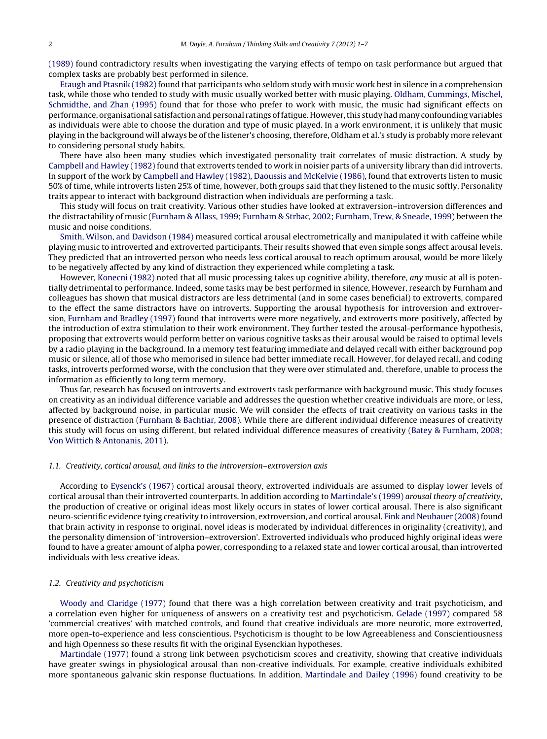[\(1989\)](#page-6-0) found contradictory results when investigating the varying effects of tempo on task performance but argued that complex tasks are probably best performed in silence.

[Etaugh](#page-5-0) [and](#page-5-0) [Ptasnik](#page-5-0) [\(1982\)](#page-5-0) found that participants who seldom study with music work best in silence in a comprehension task, while those who tended to study with music usually worked better with music playing. [Oldham,](#page-6-0) [Cummings,](#page-6-0) [Mischel,](#page-6-0) [Schmidthe,](#page-6-0) [and](#page-6-0) [Zhan](#page-6-0) [\(1995\)](#page-6-0) found that for those who prefer to work with music, the music had significant effects on performance, organisational satisfactionand personal ratings offatigue. However,this studyhadmany confounding variables as individuals were able to choose the duration and type of music played. In a work environment, it is unlikely that music playing in the background will always be of the listener's choosing, therefore, Oldham et al.'s study is probably more relevant to considering personal study habits.

There have also been many studies which investigated personality trait correlates of music distraction. A study by [Campbell](#page-5-0) [and](#page-5-0) [Hawley](#page-5-0) [\(1982\)](#page-5-0) found that extroverts tended to work in noisier parts of a university library than did introverts. In support of the work by [Campbell](#page-5-0) [and](#page-5-0) [Hawley](#page-5-0) [\(1982\),](#page-5-0) [Daoussis](#page-5-0) [and](#page-5-0) [McKelvie](#page-5-0) [\(1986\),](#page-5-0) found that extroverts listen to music 50% of time, while introverts listen 25% of time, however, both groups said that they listened to the music softly. Personality traits appear to interact with background distraction when individuals are performing a task.

This study will focus on trait creativity. Various other studies have looked at extraversion–introversion differences and the distractability of music [\(Furnham](#page-5-0) [&](#page-5-0) [Allass,](#page-5-0) [1999;](#page-5-0) [Furnham](#page-5-0) [&](#page-5-0) [Strbac,](#page-5-0) [2002;](#page-5-0) [Furnham,](#page-5-0) [Trew,](#page-5-0) [&](#page-5-0) [Sneade,](#page-5-0) [1999\)](#page-5-0) between the music and noise conditions.

[Smith,](#page-6-0) [Wilson,](#page-6-0) [and](#page-6-0) [Davidson](#page-6-0) [\(1984\)](#page-6-0) measured cortical arousal electrometrically and manipulated it with caffeine while playing music to introverted and extroverted participants. Their results showed that even simple songs affect arousal levels. They predicted that an introverted person who needs less cortical arousal to reach optimum arousal, would be more likely to be negatively affected by any kind of distraction they experienced while completing a task.

However, [Konecni](#page-6-0) [\(1982\)](#page-6-0) noted that all music processing takes up cognitive ability, therefore, *any* music at all is potentially detrimental to performance. Indeed, some tasks may be best performed in silence, However, research by Furnham and colleagues has shown that musical distractors are less detrimental (and in some cases beneficial) to extroverts, compared to the effect the same distractors have on introverts. Supporting the arousal hypothesis for introversion and extroversion, [Furnham](#page-5-0) [and](#page-5-0) [Bradley](#page-5-0) [\(1997\)](#page-5-0) found that introverts were more negatively, and extroverts more positively, affected by the introduction of extra stimulation to their work environment. They further tested the arousal-performance hypothesis, proposing that extroverts would perform better on various cognitive tasks as their arousal would be raised to optimal levels by a radio playing in the background. In a memory test featuring immediate and delayed recall with either background pop music or silence, all of those who memorised in silence had better immediate recall. However, for delayed recall, and coding tasks, introverts performed worse, with the conclusion that they were over stimulated and, therefore, unable to process the information as efficiently to long term memory.

Thus far, research has focused on introverts and extroverts task performance with background music. This study focuses on creativity as an individual difference variable and addresses the question whether creative individuals are more, or less, affected by background noise, in particular music. We will consider the effects of trait creativity on various tasks in the presence of distraction [\(Furnham](#page-5-0) [&](#page-5-0) [Bachtiar,](#page-5-0) [2008\).](#page-5-0) While there are different individual difference measures of creativity this study will focus on using different, but related individual difference measures of creativity ([Batey](#page-5-0) [&](#page-5-0) [Furnham,](#page-5-0) [2008;](#page-5-0) [Von](#page-5-0) [Wittich](#page-5-0) [&](#page-5-0) [Antonanis,](#page-5-0) [2011\).](#page-5-0)

#### 1.1. Creativity, cortical arousal, and links to the introversion–extroversion axis

According to [Eysenck's](#page-5-0) [\(1967\)](#page-5-0) cortical arousal theory, extroverted individuals are assumed to display lower levels of cortical arousal than their introverted counterparts. In addition according to [Martindale's](#page-6-0) [\(1999\)](#page-6-0) arousal theory of creativity, the production of creative or original ideas most likely occurs in states of lower cortical arousal. There is also significant neuro-scientific evidence tying creativity to introversion, extroversion, and cortical arousal. [Fink](#page-5-0) [and](#page-5-0) [Neubauer](#page-5-0) [\(2008\)](#page-5-0) found that brain activity in response to original, novel ideas is moderated by individual differences in originality (creativity), and the personality dimension of 'introversion–extroversion'. Extroverted individuals who produced highly original ideas were found to have a greater amount of alpha power, corresponding to a relaxed state and lower cortical arousal, than introverted individuals with less creative ideas.

#### 1.2. Creativity and psychoticism

[Woody](#page-6-0) [and](#page-6-0) [Claridge](#page-6-0) [\(1977\)](#page-6-0) found that there was a high correlation between creativity and trait psychoticism, and a correlation even higher for uniqueness of answers on a creativity test and psychoticism. [Gelade](#page-6-0) [\(1997\)](#page-6-0) compared 58 'commercial creatives' with matched controls, and found that creative individuals are more neurotic, more extroverted, more open-to-experience and less conscientious. Psychoticism is thought to be low Agreeableness and Conscientiousness and high Openness so these results fit with the original Eysenckian hypotheses.

[Martindale](#page-6-0) [\(1977\)](#page-6-0) found a strong link between psychoticism scores and creativity, showing that creative individuals have greater swings in physiological arousal than non-creative individuals. For example, creative individuals exhibited more spontaneous galvanic skin response fluctuations. In addition, [Martindale](#page-6-0) [and](#page-6-0) [Dailey](#page-6-0) [\(1996\)](#page-6-0) found creativity to be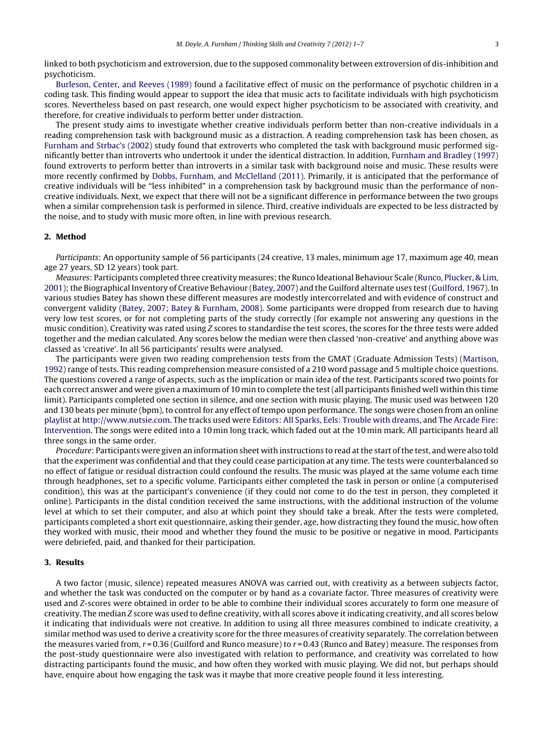[Burleson,](#page-5-0) [Center,](#page-5-0) [and](#page-5-0) [Reeves](#page-5-0) [\(1989\)](#page-5-0) found a facilitative effect of music on the performance of psychotic children in a coding task. This finding would appear to support the idea that music acts to facilitate individuals with high psychoticism scores. Nevertheless based on past research, one would expect higher psychoticism to be associated with creativity, and therefore, for creative individuals to perform better under distraction.

The present study aims to investigate whether creative individuals perform better than non-creative individuals in a reading comprehension task with background music as a distraction. A reading comprehension task has been chosen, as [Furnham](#page-5-0) [and](#page-5-0) [Strbac's](#page-5-0) [\(2002\)](#page-5-0) study found that extroverts who completed the task with background music performed significantly better than introverts who undertook it under the identical distraction. In addition, [Furnham](#page-5-0) [and](#page-5-0) [Bradley](#page-5-0) [\(1997\)](#page-5-0) found extroverts to perform better than introverts in a similar task with background noise and music. These results were more recently confirmed by [Dobbs,](#page-5-0) [Furnham,](#page-5-0) [and](#page-5-0) [McClelland](#page-5-0) [\(2011\).](#page-5-0) Primarily, it is anticipated that the performance of creative individuals will be "less inhibited" in a comprehension task by background music than the performance of noncreative individuals. Next, we expect that there will not be a significant difference in performance between the two groups when a similar comprehension task is performed in silence. Third, creative individuals are expected to be less distracted by the noise, and to study with music more often, in line with previous research.

#### **2. Method**

Participants: An opportunity sample of 56 participants (24 creative, 13 males, minimum age 17, maximum age 40, mean age 27 years, SD 12 years) took part.

Measures: Participants completed three creativity measures;the Runco Ideational Behaviour Scale ([Runco,](#page-6-0) [Plucker,](#page-6-0) [&](#page-6-0) [Lim,](#page-6-0) [2001\);](#page-6-0)the Biographical Inventory of Creative Behaviour ([Batey,](#page-5-0) [2007\)](#page-5-0) and the Guilford alternate uses test([Guilford,](#page-6-0) [1967\).](#page-6-0) In various studies Batey has shown these different measures are modestly intercorrelated and with evidence of construct and convergent validity ([Batey,](#page-5-0) [2007;](#page-5-0) [Batey](#page-5-0) [&](#page-5-0) [Furnham,](#page-5-0) [2008\).](#page-5-0) Some participants were dropped from research due to having very low test scores, or for not completing parts of the study correctly (for example not answering any questions in the music condition). Creativity was rated using Z scores to standardise the test scores, the scores for the three tests were added together and the median calculated. Any scores below the median were then classed 'non-creative' and anything above was classed as 'creative'. In all 56 participants' results were analysed.

The participants were given two reading comprehension tests from the GMAT (Graduate Admission Tests) ([Martison,](#page-6-0) [1992\)](#page-6-0) range of tests. This reading comprehension measure consisted of a 210 word passage and 5 multiple choice questions. The questions covered a range of aspects, such as the implication or main idea of the test. Participants scored two points for each correct answer and were given a maximum of 10 min to complete the test(all participants finished well within this time limit). Participants completed one section in silence, and one section with music playing. The music used was between 120 and 130 beats per minute (bpm), to control for any effect of tempo upon performance. The songs were chosen from an online [playlist](#page-6-0) at [http://www.nutsie.com.](http://www.nutsie.com/) The tracks used were [Editors:](#page-5-0) [All](#page-5-0) [Sparks,](#page-5-0) [Eels:](#page-5-0) [Trouble](#page-5-0) [with](#page-5-0) [dreams,](#page-5-0) and [The](#page-6-0) [Arcade](#page-6-0) [Fire:](#page-6-0) [Intervention.](#page-6-0) The songs were edited into a 10 min long track, which faded out at the 10 min mark. All participants heard all three songs in the same order.

Procedure: Participants were given an information sheet with instructions to read atthe start ofthe test, and were also told that the experiment was confidential and that they could cease participation at any time. The tests were counterbalanced so no effect of fatigue or residual distraction could confound the results. The music was played at the same volume each time through headphones, set to a specific volume. Participants either completed the task in person or online (a computerised condition), this was at the participant's convenience (if they could not come to do the test in person, they completed it online). Participants in the distal condition received the same instructions, with the additional instruction of the volume level at which to set their computer, and also at which point they should take a break. After the tests were completed, participants completed a short exit questionnaire, asking their gender, age, how distracting they found the music, how often they worked with music, their mood and whether they found the music to be positive or negative in mood. Participants were debriefed, paid, and thanked for their participation.

#### **3. Results**

A two factor (music, silence) repeated measures ANOVA was carried out, with creativity as a between subjects factor, and whether the task was conducted on the computer or by hand as a covariate factor. Three measures of creativity were used and Z-scores were obtained in order to be able to combine their individual scores accurately to form one measure of creativity. The median Z score was used to define creativity, with all scores above it indicating creativity, and all scores below it indicating that individuals were not creative. In addition to using all three measures combined to indicate creativity, a similar method was used to derive a creativity score for the three measures of creativity separately. The correlation between the measures varied from,  $r = 0.36$  (Guilford and Runco measure) to  $r = 0.43$  (Runco and Batey) measure. The responses from the post-study questionnaire were also investigated with relation to performance, and creativity was correlated to how distracting participants found the music, and how often they worked with music playing. We did not, but perhaps should have, enquire about how engaging the task was it maybe that more creative people found it less interesting.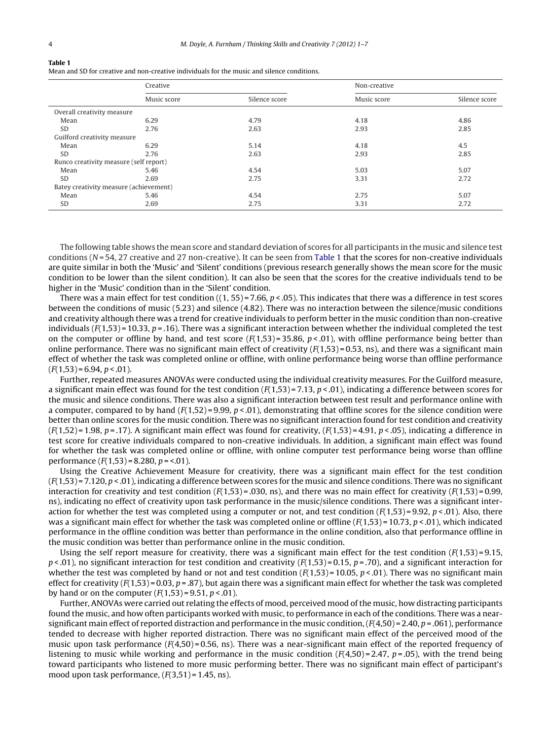#### **Table 1**

Mean and SD for creative and non-creative individuals for the music and silence conditions.

|                                        | Creative                               |               | Non-creative |               |
|----------------------------------------|----------------------------------------|---------------|--------------|---------------|
|                                        | Music score                            | Silence score | Music score  | Silence score |
| Overall creativity measure             |                                        |               |              |               |
| Mean                                   | 6.29                                   | 4.79          | 4.18         | 4.86          |
| <b>SD</b>                              | 2.76                                   | 2.63          | 2.93         | 2.85          |
| Guilford creativity measure            |                                        |               |              |               |
| Mean                                   | 6.29                                   | 5.14          | 4.18         | 4.5           |
| <b>SD</b>                              | 2.76                                   | 2.63          | 2.93         | 2.85          |
| Runco creativity measure (self report) |                                        |               |              |               |
| Mean                                   | 5.46                                   | 4.54          | 5.03         | 5.07          |
| <b>SD</b>                              | 2.69                                   | 2.75          | 3.31         | 2.72          |
|                                        | Batey creativity measure (achievement) |               |              |               |
| Mean                                   | 5.46                                   | 4.54          | 2.75         | 5.07          |
| SD                                     | 2.69                                   | 2.75          | 3.31         | 2.72          |

The following table shows the mean score and standard deviation of scores for all participants in the music and silence test conditions  $(N = 54, 27$  creative and 27 non-creative). It can be seen from Table 1 that the scores for non-creative individuals are quite similar in both the 'Music' and 'Silent' conditions (previous research generally shows the mean score for the music condition to be lower than the silent condition). It can also be seen that the scores for the creative individuals tend to be higher in the 'Music' condition than in the 'Silent' condition.

There was a main effect for test condition  $((1, 55) = 7.66, p < .05)$ . This indicates that there was a difference in test scores between the conditions of music (5.23) and silence (4.82). There was no interaction between the silence/music conditions and creativity although there was a trend for creative individuals to perform better in the music condition than non-creative individuals ( $F(1,53) = 10.33$ ,  $p = .16$ ). There was a significant interaction between whether the individual completed the test on the computer or offline by hand, and test score  $(F(1,53) = 35.86, p < .01)$ , with offline performance being better than online performance. There was no significant main effect of creativity  $(F(1,53) = 0.53, \text{ns})$ , and there was a significant main effect of whether the task was completed online or offline, with online performance being worse than offline performance  $(F(1,53) = 6.94, p < .01)$ .

Further, repeated measures ANOVAs were conducted using the individual creativity measures. For the Guilford measure, a significant main effect was found for the test condition  $(F(1,53) = 7.13, p < .01)$ , indicating a difference between scores for the music and silence conditions. There was also a significant interaction between test result and performance online with a computer, compared to by hand  $(F(1,52) = 9.99, p < .01)$ , demonstrating that offline scores for the silence condition were better than online scores for the music condition. There was no significant interaction found for test condition and creativity  $(F(1,52) = 1.98, p = .17)$ . A significant main effect was found for creativity,  $(F(1,53) = 4.91, p < .05)$ , indicating a difference in test score for creative individuals compared to non-creative individuals. In addition, a significant main effect was found for whether the task was completed online or offline, with online computer test performance being worse than offline performance ( $F(1.53) = 8.280, p = 5.01$ ).

Using the Creative Achievement Measure for creativity, there was a significant main effect for the test condition  $(F(1,53) = 7.120, p < 0.01)$ , indicating a difference between scores for the music and silence conditions. There was no significant interaction for creativity and test condition  $(F(1,53) = .030, \text{ns})$ , and there was no main effect for creativity  $(F(1,53) = 0.99, \text{ns})$ ns), indicating no effect of creativity upon task performance in the music/silence conditions. There was a significant interaction for whether the test was completed using a computer or not, and test condition  $(F(1,53) = 9.92, p < .01)$ . Also, there was a significant main effect for whether the task was completed online or offline ( $F(1,53) = 10.73$ ,  $p < .01$ ), which indicated performance in the offline condition was better than performance in the online condition, also that performance offline in the music condition was better than performance online in the music condition.

Using the self report measure for creativity, there was a significant main effect for the test condition  $(F(1,53) = 9.15$ ,  $p$  < .01), no significant interaction for test condition and creativity ( $F(1,53) = 0.15$ ,  $p = .70$ ), and a significant interaction for whether the test was completed by hand or not and test condition  $(F(1,53) = 10.05, p < .01)$ . There was no significant main effect for creativity ( $F(1,53) = 0.03$ ,  $p = .87$ ), but again there was a significant main effect for whether the task was completed by hand or on the computer  $(F(1,53) = 9.51, p < .01)$ .

Further, ANOVAs were carried out relating the effects of mood, perceived mood of the music, how distracting participants found the music, and how often participants worked with music, to performance in each of the conditions. There was a nearsignificant main effect of reported distraction and performance in the music condition,  $(F(4,50) = 2.40, p = .061)$ , performance tended to decrease with higher reported distraction. There was no significant main effect of the perceived mood of the music upon task performance (F(4,50) = 0.56, ns). There was a near-significant main effect of the reported frequency of listening to music while working and performance in the music condition  $(F(4,50) = 2.47, p = .05)$ , with the trend being toward participants who listened to more music performing better. There was no significant main effect of participant's mood upon task performance,  $(F(3,51) = 1.45, \text{ns})$ .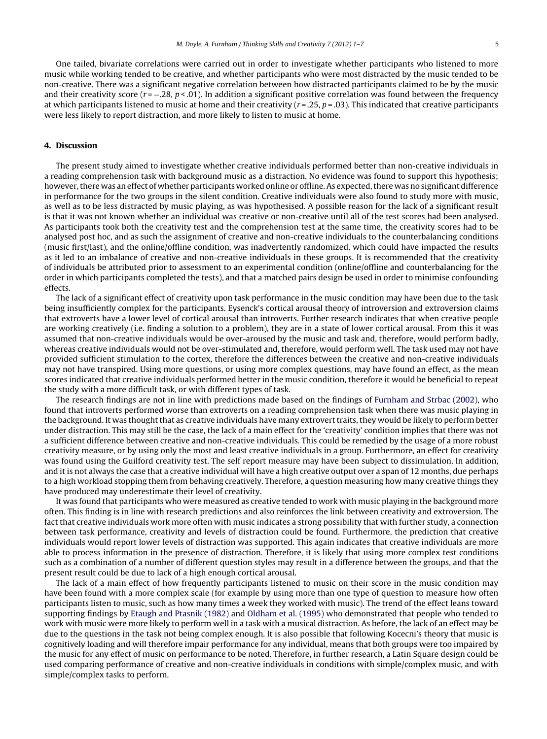One tailed, bivariate correlations were carried out in order to investigate whether participants who listened to more music while working tended to be creative, and whether participants who were most distracted by the music tended to be non-creative. There was a significant negative correlation between how distracted participants claimed to be by the music and their creativity score  $(r = -28, p < 01)$ . In addition a significant positive correlation was found between the frequency at which participants listened to music at home and their creativity ( $r = .25$ ,  $p = .03$ ). This indicated that creative participants were less likely to report distraction, and more likely to listen to music at home.

#### **4. Discussion**

The present study aimed to investigate whether creative individuals performed better than non-creative individuals in a reading comprehension task with background music as a distraction. No evidence was found to support this hypothesis; however, there was an effect of whether participants worked online or offline. As expected, there was no significant difference in performance for the two groups in the silent condition. Creative individuals were also found to study more with music, as well as to be less distracted by music playing, as was hypothesised. A possible reason for the lack of a significant result is that it was not known whether an individual was creative or non-creative until all of the test scores had been analysed. As participants took both the creativity test and the comprehension test at the same time, the creativity scores had to be analysed post hoc, and as such the assignment of creative and non-creative individuals to the counterbalancing conditions (music first/last), and the online/offline condition, was inadvertently randomized, which could have impacted the results as it led to an imbalance of creative and non-creative individuals in these groups. It is recommended that the creativity of individuals be attributed prior to assessment to an experimental condition (online/offline and counterbalancing for the order in which participants completed the tests), and that a matched pairs design be used in order to minimise confounding effects.

The lack of a significant effect of creativity upon task performance in the music condition may have been due to the task being insufficiently complex for the participants. Eysenck's cortical arousal theory of introversion and extroversion claims that extroverts have a lower level of cortical arousal than introverts. Further research indicates that when creative people are working creatively (i.e. finding a solution to a problem), they are in a state of lower cortical arousal. From this it was assumed that non-creative individuals would be over-aroused by the music and task and, therefore, would perform badly, whereas creative individuals would not be over-stimulated and, therefore, would perform well. The task used may not have provided sufficient stimulation to the cortex, therefore the differences between the creative and non-creative individuals may not have transpired. Using more questions, or using more complex questions, may have found an effect, as the mean scores indicated that creative individuals performed better in the music condition, therefore it would be beneficial to repeat the study with a more difficult task, or with different types of task.

The research findings are not in line with predictions made based on the findings of [Furnham](#page-5-0) [and](#page-5-0) [Strbac](#page-5-0) [\(2002\),](#page-5-0) who found that introverts performed worse than extroverts on a reading comprehension task when there was music playing in the background. It was thought that as creative individuals have many extrovert traits, they would be likely to perform better under distraction. This may still be the case, the lack of a main effect for the 'creativity' condition implies that there was not a sufficient difference between creative and non-creative individuals. This could be remedied by the usage of a more robust creativity measure, or by using only the most and least creative individuals in a group. Furthermore, an effect for creativity was found using the Guilford creativity test. The self report measure may have been subject to dissimulation. In addition, and it is not always the case that a creative individual will have a high creative output over a span of 12 months, due perhaps to a high workload stopping them from behaving creatively. Therefore, a question measuring how many creative things they have produced may underestimate their level of creativity.

It was found that participants who were measured as creative tended to work with music playing in the background more often. This finding is in line with research predictions and also reinforces the link between creativity and extroversion. The fact that creative individuals work more often with music indicates a strong possibility that with further study, a connection between task performance, creativity and levels of distraction could be found. Furthermore, the prediction that creative individuals would report lower levels of distraction was supported. This again indicates that creative individuals are more able to process information in the presence of distraction. Therefore, it is likely that using more complex test conditions such as a combination of a number of different question styles may result in a difference between the groups, and that the present result could be due to lack of a high enough cortical arousal.

The lack of a main effect of how frequently participants listened to music on their score in the music condition may have been found with a more complex scale (for example by using more than one type of question to measure how often participants listen to music, such as how many times a week they worked with music). The trend of the effect leans toward supporting findings by [Etaugh](#page-5-0) [and](#page-5-0) [Ptasnik](#page-5-0) [\(1982\)](#page-5-0) and [Oldham](#page-6-0) et [al.](#page-6-0) [\(1995\)](#page-6-0) who demonstrated that people who tended to work with music were more likely to perform well in a task with a musical distraction. As before, the lack of an effect may be due to the questions in the task not being complex enough. It is also possible that following Kocecni's theory that music is cognitively loading and will therefore impair performance for any individual, means that both groups were too impaired by the music for any effect of music on performance to be noted. Therefore, in further research, a Latin Square design could be used comparing performance of creative and non-creative individuals in conditions with simple/complex music, and with simple/complex tasks to perform.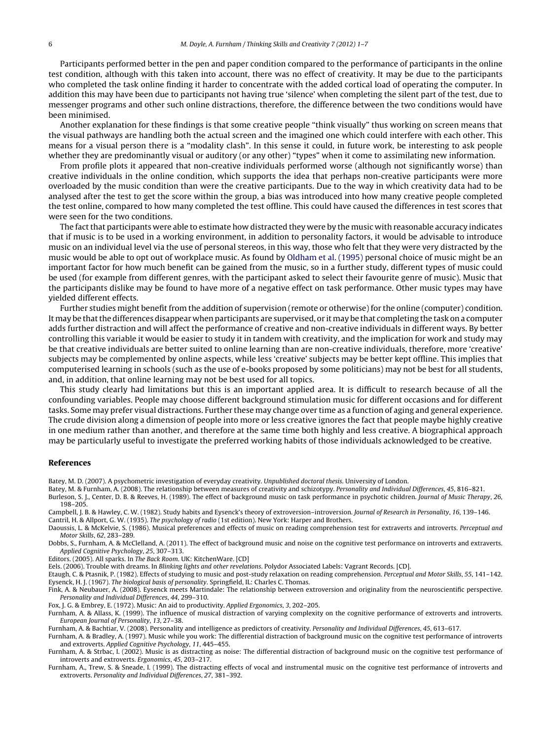<span id="page-5-0"></span>Participants performed better in the pen and paper condition compared to the performance of participants in the online test condition, although with this taken into account, there was no effect of creativity. It may be due to the participants who completed the task online finding it harder to concentrate with the added cortical load of operating the computer. In addition this may have been due to participants not having true 'silence' when completing the silent part of the test, due to messenger programs and other such online distractions, therefore, the difference between the two conditions would have been minimised.

Another explanation for these findings is that some creative people "think visually" thus working on screen means that the visual pathways are handling both the actual screen and the imagined one which could interfere with each other. This means for a visual person there is a "modality clash". In this sense it could, in future work, be interesting to ask people whether they are predominantly visual or auditory (or any other) "types" when it come to assimilating new information.

From profile plots it appeared that non-creative individuals performed worse (although not significantly worse) than creative individuals in the online condition, which supports the idea that perhaps non-creative participants were more overloaded by the music condition than were the creative participants. Due to the way in which creativity data had to be analysed after the test to get the score within the group, a bias was introduced into how many creative people completed the test online, compared to how many completed the test offline. This could have caused the differences in test scores that were seen for the two conditions.

The fact that participants were able to estimate how distracted they were by the music with reasonable accuracy indicates that if music is to be used in a working environment, in addition to personality factors, it would be advisable to introduce music on an individual level via the use of personal stereos, in this way, those who felt that they were very distracted by the music would be able to opt out of workplace music. As found by [Oldham](#page-6-0) et [al.](#page-6-0) [\(1995\)](#page-6-0) personal choice of music might be an important factor for how much benefit can be gained from the music, so in a further study, different types of music could be used (for example from different genres, with the participant asked to select their favourite genre of music). Music that the participants dislike may be found to have more of a negative effect on task performance. Other music types may have yielded different effects.

Further studies might benefit from the addition of supervision (remote or otherwise) for the online (computer) condition. It may be that the differences disappear when participants are supervised, or it may be that completing the task on a computer adds further distraction and will affect the performance of creative and non-creative individuals in different ways. By better controlling this variable it would be easier to study it in tandem with creativity, and the implication for work and study may be that creative individuals are better suited to online learning than are non-creative individuals, therefore, more 'creative' subjects may be complemented by online aspects, while less 'creative' subjects may be better kept offline. This implies that computerised learning in schools (such as the use of e-books proposed by some politicians) may not be best for all students, and, in addition, that online learning may not be best used for all topics.

This study clearly had limitations but this is an important applied area. It is difficult to research because of all the confounding variables. People may choose different background stimulation music for different occasions and for different tasks. Some may prefer visual distractions. Further these may change over time as a function of aging and general experience. The crude division along a dimension of people into more or less creative ignores the fact that people maybe highly creative in one medium rather than another, and therefore at the same time both highly and less creative. A biographical approach may be particularly useful to investigate the preferred working habits of those individuals acknowledged to be creative.

#### **References**

- Batey, M. D. (2007). A psychometric investigation of everyday creativity. Unpublished doctoral thesis. University of London.
- Batey, M. & Furnham, A. (2008). The relationship between measures of creativity and schizotypy. Personality and Individual Differences, 45, 816–821. Burleson, S. J., Center, D. B. & Reeves, H. (1989). The effect of background music on task performance in psychotic children. Journal of Music Therapy, 26,
- 198–205. Campbell, J. B. & Hawley, C. W. (1982). Study habits and Eysenck's theory of extroversion–introversion. Journal of Research in Personality, 16, 139–146.

Cantril, H. & Allport, G. W. (1935). The psychology of radio (1st edition). New York: Harper and Brothers.

- Daoussis, L. & McKelvie, S. (1986). Musical preferences and effects of music on reading comprehension test for extraverts and introverts. Perceptual and Motor Skills, 62, 283–289.
- Dobbs, S., Furnham, A. & McClelland, A. (2011). The effect of background music and noise on the cognitive test performance on introverts and extraverts. Applied Cognitive Psychology, 25, 307–313.
- Editors. (2005). All sparks. In The Back Room. UK: KitchenWare. [CD]
- Eels. (2006). Trouble with dreams. In Blinking lights and other revelations. Polydor Associated Labels: Vagrant Records. [CD].

Etaugh, C. & Ptasnik, P. (1982). Effects of studying to music and post-study relaxation on reading comprehension. Perceptual and Motor Skills, 55, 141-142. Eysenck, H. J. (1967). The biological basis of personality. Springfield, IL: Charles C. Thomas.

- Fink, A. & Neubauer, A. (2008). Eysenck meets Martindale: The relationship between extroversion and originality from the neuroscientific perspective. Personality and Individual Differences, 44, 299–310.
- Fox, J. G. & Embrey, E. (1972). Music: An aid to productivity. Applied Ergonomics, 3, 202–205.
- Furnham, A. & Allass, K. (1999). The influence of musical distraction of varying complexity on the cognitive performance of extroverts and introverts. European Journal of Personality, 13, 27–38.

Furnham, A. & Bachtiar, V. (2008). Personality and intelligence as predictors of creativity. Personality and Individual Differences, 45, 613–617.

Furnham, A. & Bradley, A. (1997). Music while you work: The differential distraction of background music on the cognitive test performance of introverts and extroverts. Applied Cognitive Psychology, 11, 445–455.

Furnham, A. & Strbac, I. (2002). Music is as distracting as noise: The differential distraction of background music on the cognitive test performance of introverts and extroverts. Ergonomics, 45, 203–217.

Furnham, A., Trew, S. & Sneade, I. (1999). The distracting effects of vocal and instrumental music on the cognitive test performance of introverts and extroverts. Personality and Individual Differences, 27, 381–392.